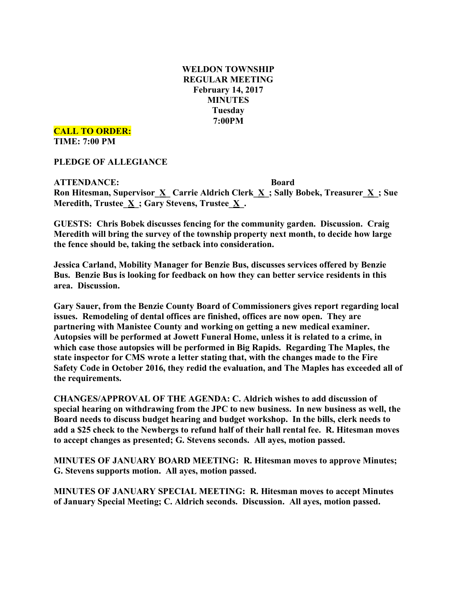# **WELDON TOWNSHIP REGULAR MEETING February 14, 2017 MINUTES Tuesday 7:00PM**

**CALL TO ORDER:**

**TIME: 7:00 PM**

**PLEDGE OF ALLEGIANCE**

**ATTENDANCE: Board Ron Hitesman, Supervisor**  $\underline{X}$  **<b>Carrie** Aldrich Clerk  $\underline{X}$ ; Sally Bobek, Treasurer  $\underline{X}$ ; Sue **Meredith, Trustee\_X\_; Gary Stevens, Trustee\_X\_.**

**GUESTS: Chris Bobek discusses fencing for the community garden. Discussion. Craig Meredith will bring the survey of the township property next month, to decide how large the fence should be, taking the setback into consideration.**

**Jessica Carland, Mobility Manager for Benzie Bus, discusses services offered by Benzie Bus. Benzie Bus is looking for feedback on how they can better service residents in this area. Discussion.**

**Gary Sauer, from the Benzie County Board of Commissioners gives report regarding local issues. Remodeling of dental offices are finished, offices are now open. They are partnering with Manistee County and working on getting a new medical examiner. Autopsies will be performed at Jowett Funeral Home, unless it is related to a crime, in which case those autopsies will be performed in Big Rapids. Regarding The Maples, the state inspector for CMS wrote a letter stating that, with the changes made to the Fire Safety Code in October 2016, they redid the evaluation, and The Maples has exceeded all of the requirements.**

**CHANGES/APPROVAL OF THE AGENDA: C. Aldrich wishes to add discussion of special hearing on withdrawing from the JPC to new business. In new business as well, the Board needs to discuss budget hearing and budget workshop. In the bills, clerk needs to add a \$25 check to the Newbergs to refund half of their hall rental fee. R. Hitesman moves to accept changes as presented; G. Stevens seconds. All ayes, motion passed.**

**MINUTES OF JANUARY BOARD MEETING: R. Hitesman moves to approve Minutes; G. Stevens supports motion. All ayes, motion passed.**

**MINUTES OF JANUARY SPECIAL MEETING: R. Hitesman moves to accept Minutes of January Special Meeting; C. Aldrich seconds. Discussion. All ayes, motion passed.**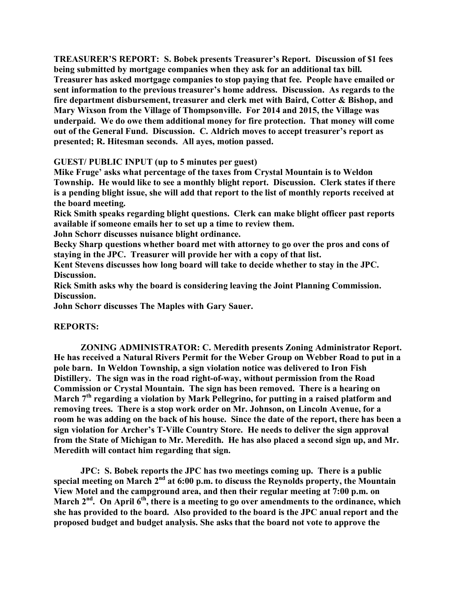**TREASURER'S REPORT: S. Bobek presents Treasurer's Report. Discussion of \$1 fees being submitted by mortgage companies when they ask for an additional tax bill. Treasurer has asked mortgage companies to stop paying that fee. People have emailed or sent information to the previous treasurer's home address. Discussion. As regards to the fire department disbursement, treasurer and clerk met with Baird, Cotter & Bishop, and Mary Wixson from the Village of Thompsonville. For 2014 and 2015, the Village was underpaid. We do owe them additional money for fire protection. That money will come out of the General Fund. Discussion. C. Aldrich moves to accept treasurer's report as presented; R. Hitesman seconds. All ayes, motion passed.**

## **GUEST/ PUBLIC INPUT (up to 5 minutes per guest)**

**Mike Fruge' asks what percentage of the taxes from Crystal Mountain is to Weldon Township. He would like to see a monthly blight report. Discussion. Clerk states if there is a pending blight issue, she will add that report to the list of monthly reports received at the board meeting.**

**Rick Smith speaks regarding blight questions. Clerk can make blight officer past reports available if someone emails her to set up a time to review them.**

**John Schorr discusses nuisance blight ordinance.**

**Becky Sharp questions whether board met with attorney to go over the pros and cons of staying in the JPC. Treasurer will provide her with a copy of that list.**

**Kent Stevens discusses how long board will take to decide whether to stay in the JPC. Discussion.**

**Rick Smith asks why the board is considering leaving the Joint Planning Commission. Discussion.**

**John Schorr discusses The Maples with Gary Sauer.**

## **REPORTS:**

**ZONING ADMINISTRATOR: C. Meredith presents Zoning Administrator Report. He has received a Natural Rivers Permit for the Weber Group on Webber Road to put in a pole barn. In Weldon Township, a sign violation notice was delivered to Iron Fish Distillery. The sign was in the road right-of-way, without permission from the Road Commission or Crystal Mountain. The sign has been removed. There is a hearing on March 7th regarding a violation by Mark Pellegrino, for putting in a raised platform and removing trees. There is a stop work order on Mr. Johnson, on Lincoln Avenue, for a room he was adding on the back of his house. Since the date of the report, there has been a sign violation for Archer's T-Ville Country Store. He needs to deliver the sign approval from the State of Michigan to Mr. Meredith. He has also placed a second sign up, and Mr. Meredith will contact him regarding that sign.**

**JPC: S. Bobek reports the JPC has two meetings coming up. There is a public special meeting on March 2nd at 6:00 p.m. to discuss the Reynolds property, the Mountain View Motel and the campground area, and then their regular meeting at 7:00 p.m. on March 2nd . On April 6th, there is a meeting to go over amendments to the ordinance, which she has provided to the board. Also provided to the board is the JPC anual report and the proposed budget and budget analysis. She asks that the board not vote to approve the**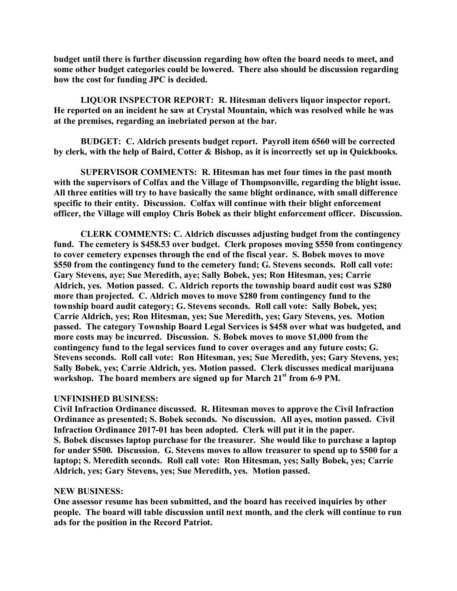**budget until there is further discussion regarding how often the board needs to meet, and some other budget categories could be lowered. There also should be discussion regarding how the cost for funding JPC is decided.**

**LIQUOR INSPECTOR REPORT: R. Hitesman delivers liquor inspector report. He reported on an incident he saw at Crystal Mountain, which was resolved while he was at the premises, regarding an inebriated person at the bar.**

**BUDGET: C. Aldrich presents budget report. Payroll item 6560 will be corrected by clerk, with the help of Baird, Cotter & Bishop, as it is incorrectly set up in Quickbooks.**

**SUPERVISOR COMMENTS: R. Hitesman has met four times in the past month with the supervisors of Colfax and the Village of Thompsonville, regarding the blight issue. All three entities will try to have basically the same blight ordinance, with small difference specific to their entity. Discussion. Colfax will continue with their blight enforcement officer, the Village will employ Chris Bobek as their blight enforcement officer. Discussion.**

**CLERK COMMENTS: C. Aldrich discusses adjusting budget from the contingency fund. The cemetery is \$458.53 over budget. Clerk proposes moving \$550 from contingency to cover cemetery expenses through the end of the fiscal year. S. Bobek moves to move \$550 from the contingency fund to the cemetery fund; G. Stevens seconds. Roll call vote: Gary Stevens, aye; Sue Meredith, aye; Sally Bobek, yes; Ron Hitesman, yes; Carrie Aldrich, yes. Motion passed. C. Aldrich reports the township board audit cost was \$280 more than projected. C. Aldrich moves to move \$280 from contingency fund to the township board audit category; G. Stevens seconds. Roll call vote: Sally Bobek, yes; Carrie Aldrich, yes; Ron Hitesman, yes; Sue Meredith, yes; Gary Stevens, yes. Motion passed. The category Township Board Legal Services is \$458 over what was budgeted, and more costs may be incurred. Discussion. S. Bobek moves to move \$1,000 from the contingency fund to the legal services fund to cover overages and any future costs; G. Stevens seconds. Roll call vote: Ron Hitesman, yes; Sue Meredith, yes; Gary Stevens, yes; Sally Bobek, yes; Carrie Aldrich, yes. Motion passed. Clerk discusses medical marijuana workshop. The board members are signed up for March 21st from 6-9 PM.**

### **UNFINISHED BUSINESS:**

**Civil Infraction Ordinance discussed. R. Hitesman moves to approve the Civil Infraction Ordinance as presented; S. Bobek seconds. No discussion. All ayes, motion passed. Civil Infraction Ordinance 2017-01 has been adopted. Clerk will put it in the paper. S. Bobek discusses laptop purchase for the treasurer. She would like to purchase a laptop for under \$500. Discussion. G. Stevens moves to allow treasurer to spend up to \$500 for a laptop; S. Meredith seconds. Roll call vote: Ron Hitesman, yes; Sally Bobek, yes; Carrie Aldrich, yes; Gary Stevens, yes; Sue Meredith, yes. Motion passed.**

### **NEW BUSINESS:**

**One assessor resume has been submitted, and the board has received inquiries by other people. The board will table discussion until next month, and the clerk will continue to run ads for the position in the Record Patriot.**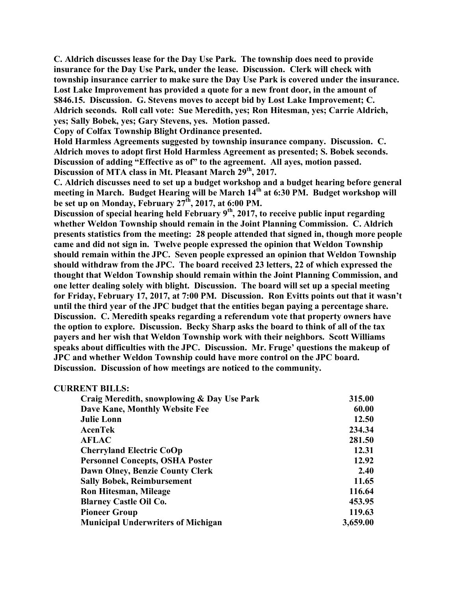**C. Aldrich discusses lease for the Day Use Park. The township does need to provide insurance for the Day Use Park, under the lease. Discussion. Clerk will check with township insurance carrier to make sure the Day Use Park is covered under the insurance. Lost Lake Improvement has provided a quote for a new front door, in the amount of \$846.15. Discussion. G. Stevens moves to accept bid by Lost Lake Improvement; C. Aldrich seconds. Roll call vote: Sue Meredith, yes; Ron Hitesman, yes; Carrie Aldrich, yes; Sally Bobek, yes; Gary Stevens, yes. Motion passed.**

**Copy of Colfax Township Blight Ordinance presented.**

**Hold Harmless Agreements suggested by township insurance company. Discussion. C. Aldrich moves to adopt first Hold Harmless Agreement as presented; S. Bobek seconds. Discussion of adding "Effective as of" to the agreement. All ayes, motion passed. Discussion of MTA class in Mt. Pleasant March 29th, 2017.**

**C. Aldrich discusses need to set up a budget workshop and a budget hearing before general meeting in March. Budget Hearing will be March 14th at 6:30 PM. Budget workshop will be set up on Monday, February 27th, 2017, at 6:00 PM.**

**Discussion of special hearing held February 9th, 2017, to receive public input regarding whether Weldon Township should remain in the Joint Planning Commission. C. Aldrich presents statistics from the meeting: 28 people attended that signed in, though more people came and did not sign in. Twelve people expressed the opinion that Weldon Township should remain within the JPC. Seven people expressed an opinion that Weldon Township should withdraw from the JPC. The board received 23 letters, 22 of which expressed the thought that Weldon Township should remain within the Joint Planning Commission, and one letter dealing solely with blight. Discussion. The board will set up a special meeting for Friday, February 17, 2017, at 7:00 PM. Discussion. Ron Evitts points out that it wasn't until the third year of the JPC budget that the entities began paying a percentage share. Discussion. C. Meredith speaks regarding a referendum vote that property owners have the option to explore. Discussion. Becky Sharp asks the board to think of all of the tax payers and her wish that Weldon Township work with their neighbors. Scott Williams speaks about difficulties with the JPC. Discussion. Mr. Fruge' questions the makeup of JPC and whether Weldon Township could have more control on the JPC board. Discussion. Discussion of how meetings are noticed to the community.**

### **CURRENT BILLS:**

| Craig Meredith, snowplowing & Day Use Park | 315.00   |
|--------------------------------------------|----------|
| Dave Kane, Monthly Website Fee             | 60.00    |
| <b>Julie Lonn</b>                          | 12.50    |
| AcenTek                                    | 234.34   |
| <b>AFLAC</b>                               | 281.50   |
| <b>Cherryland Electric CoOp</b>            | 12.31    |
| <b>Personnel Concepts, OSHA Poster</b>     | 12.92    |
| Dawn Olney, Benzie County Clerk            | 2.40     |
| <b>Sally Bobek, Reimbursement</b>          | 11.65    |
| <b>Ron Hitesman, Mileage</b>               | 116.64   |
| <b>Blarney Castle Oil Co.</b>              | 453.95   |
| <b>Pioneer Group</b>                       | 119.63   |
| <b>Municipal Underwriters of Michigan</b>  | 3,659.00 |